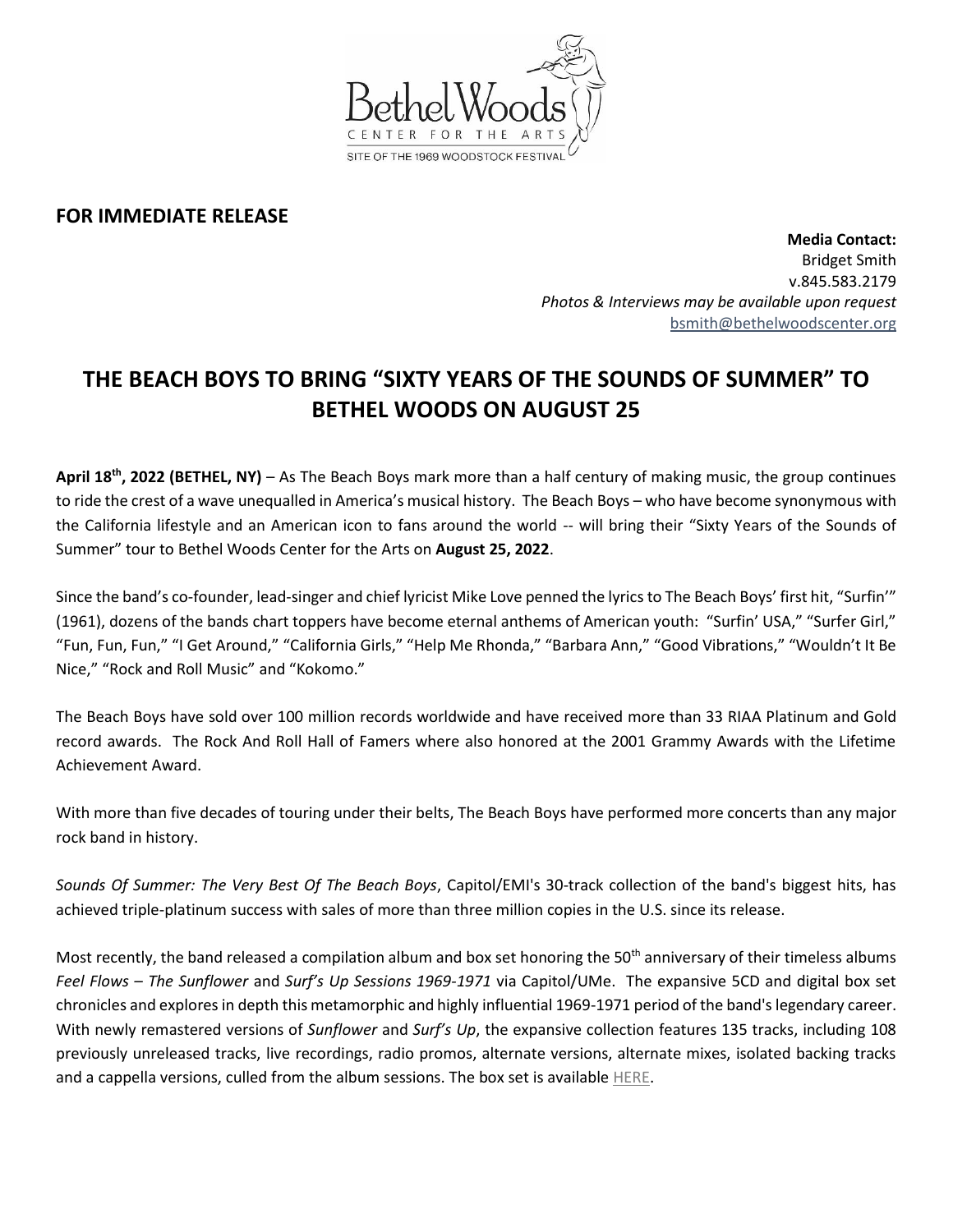

## **FOR IMMEDIATE RELEASE**

**Media Contact:**  Bridget Smith v.845.583.2179 *Photos & Interviews may be available upon request* [bsmith@bethelwoodscenter.org](mailto:bsmith@bethelwoodscenter.org)

## **THE BEACH BOYS TO BRING "SIXTY YEARS OF THE SOUNDS OF SUMMER" TO BETHEL WOODS ON AUGUST 25**

April 18<sup>th</sup>, 2022 (BETHEL, NY) – As The Beach Boys mark more than a half century of making music, the group continues to ride the crest of a wave unequalled in America's musical history. The Beach Boys – who have become synonymous with the California lifestyle and an American icon to fans around the world -- will bring their "Sixty Years of the Sounds of Summer" tour to Bethel Woods Center for the Arts on **August 25, 2022**.

Since the band's co-founder, lead-singer and chief lyricist Mike Love penned the lyrics to The Beach Boys' first hit, "Surfin'" (1961), dozens of the bands chart toppers have become eternal anthems of American youth: "Surfin' USA," "Surfer Girl," "Fun, Fun, Fun," "I Get Around," "California Girls," "Help Me Rhonda," "Barbara Ann," "Good Vibrations," "Wouldn't It Be Nice," "Rock and Roll Music" and "Kokomo."

The Beach Boys have sold over 100 million records worldwide and have received more than 33 RIAA Platinum and Gold record awards. The Rock And Roll Hall of Famers where also honored at the 2001 Grammy Awards with the Lifetime Achievement Award.

With more than five decades of touring under their belts, The Beach Boys have performed more concerts than any major rock band in history.

*Sounds Of Summer: The Very Best Of The Beach Boys*, Capitol/EMI's 30-track collection of the band's biggest hits, has achieved triple-platinum success with sales of more than three million copies in the U.S. since its release.

Most recently, the band released a compilation album and box set honoring the 50<sup>th</sup> anniversary of their timeless albums *Feel Flows – The Sunflower* and *Surf's Up Sessions 1969-1971* via Capitol/UMe. The expansive 5CD and digital box set chronicles and explores in depth this metamorphic and highly influential 1969-1971 period of the band's legendary career. With newly remastered versions of *Sunflower* and *Surf's Up*, the expansive collection features 135 tracks, including 108 previously unreleased tracks, live recordings, radio promos, alternate versions, alternate mixes, isolated backing tracks and a cappella versions, culled from the album sessions. The box set is available [HERE.](https://shop.thebeachboys.com/collections/feel-flows)